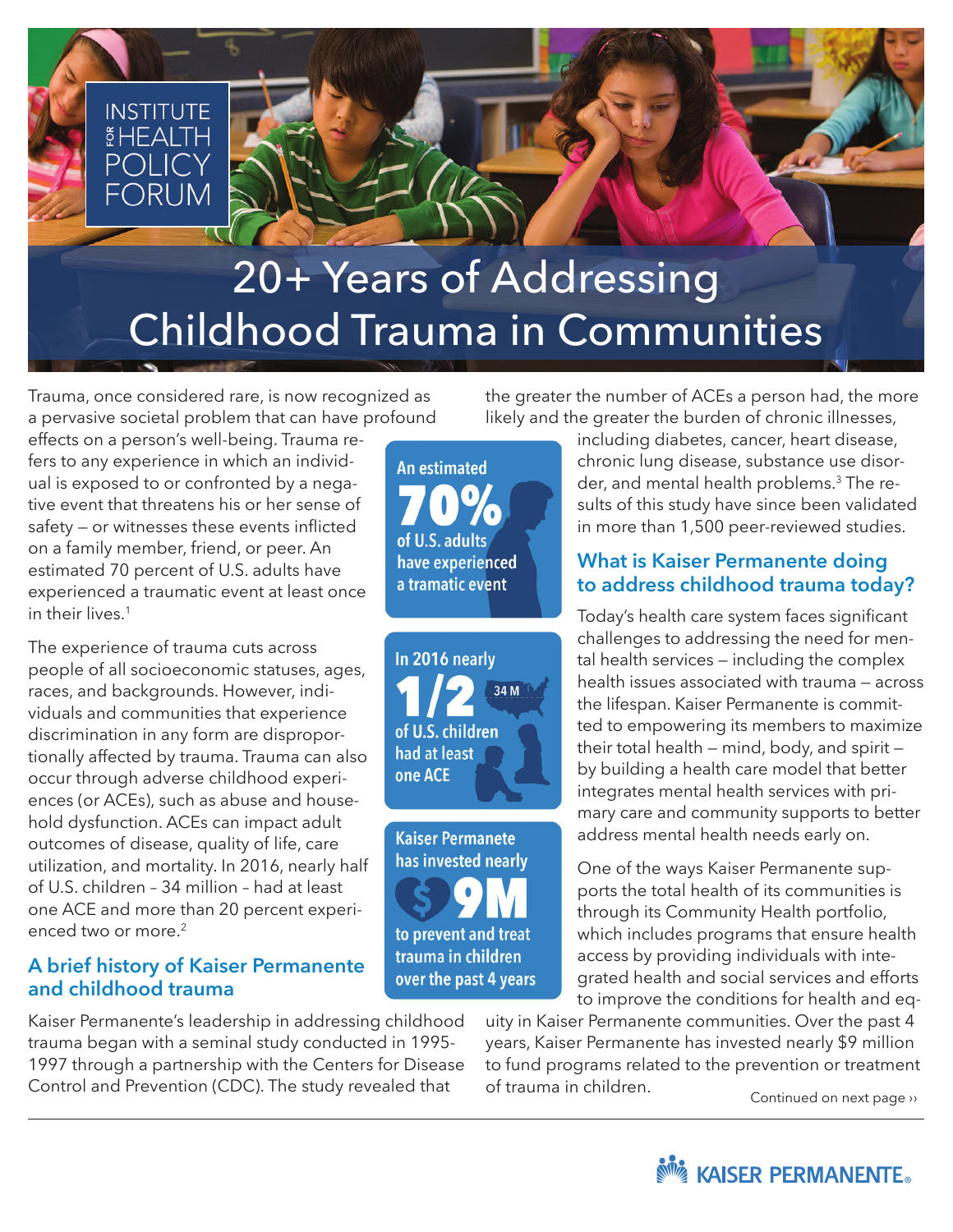

Trauma, once considered rare, is now recognized as a pervasive societal problem that can have profound

effects on a person's well-being. Trauma refers to any experience in which an individual is exposed to or confronted by a negative event that threatens his or her sense of safety — or witnesses these events inflicted on a family member, friend, or peer. An estimated 70 percent of U.S. adults have experienced a traumatic event at least once in their lives.1

The experience of trauma cuts across people of all socioeconomic statuses, ages, races, and backgrounds. However, individuals and communities that experience discrimination in any form are disproportionally affected by trauma. Trauma can also occur through adverse childhood experiences (or ACEs), such as abuse and household dysfunction. ACEs can impact adult outcomes of disease, quality of life, care utilization, and mortality. In 2016, nearly half of U.S. children – 34 million – had at least one ACE and more than 20 percent experienced two or more.<sup>2</sup>

## **A brief history of Kaiser Permanente and childhood trauma**

Kaiser Permanente's leadership in addressing childhood trauma began with a seminal study conducted in 1995- 1997 through a partnership with the Centers for Disease Control and Prevention (CDC). The study revealed that

the greater the number of ACEs a person had, the more likely and the greater the burden of chronic illnesses,

**An estimated** of U.S. adults have experienced a tramatic event



**Kaiser Permanete** has invested nearly to prevent and treat trauma in children over the past 4 years

including diabetes, cancer, heart disease, chronic lung disease, substance use disorder, and mental health problems.3 The results of this study have since been validated in more than 1,500 peer-reviewed studies.

## **What is Kaiser Permanente doing to address childhood trauma today?**

Today's health care system faces significant challenges to addressing the need for mental health services — including the complex health issues associated with trauma — across the lifespan. Kaiser Permanente is committed to empowering its members to maximize their total health — mind, body, and spirit by building a health care model that better integrates mental health services with primary care and community supports to better address mental health needs early on.

One of the ways Kaiser Permanente supports the total health of its communities is through its Community Health portfolio, which includes programs that ensure health access by providing individuals with integrated health and social services and efforts to improve the conditions for health and eq-

uity in Kaiser Permanente communities. Over the past 4 years, Kaiser Permanente has invested nearly \$9 million to fund programs related to the prevention or treatment of trauma in children. Continued on next page ››